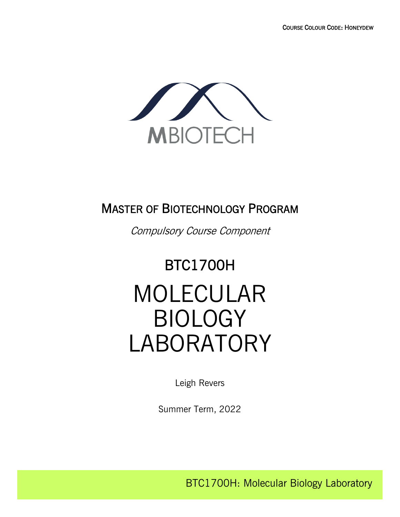

## MASTER OF BIOTECHNOLOGY PROGRAM

Compulsory Course Component

# BTC1700H MOLECULAR BIOLOGY LABORATORY

Leigh Revers

Summer Term, 2022

BTC1700H: Molecular Biology Laboratory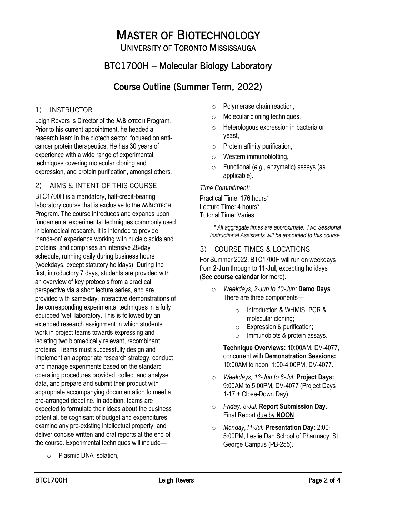# MASTER OF BIOTECHNOLOGY UNIVERSITY OF TORONTO MISSISSAUGA

## BTC1700H – Molecular Biology Laboratory

## Course Outline (Summer Term, 2022)

## 1) INSTRUCTOR

Leigh Revers is Director of the MBIOTECH Program. Prior to his current appointment, he headed a research team in the biotech sector, focused on anticancer protein therapeutics. He has 30 years of experience with a wide range of experimental techniques covering molecular cloning and expression, and protein purification, amongst others.

## 2) AIMS & INTENT OF THIS COURSE

BTC1700H is a mandatory, half-credit-bearing laboratory course that is exclusive to the MBIOTECH Program. The course introduces and expands upon fundamental experimental techniques commonly used in biomedical research. It is intended to provide 'hands-on' experience working with nucleic acids and proteins, and comprises an intensive 28-day schedule, running daily during business hours (weekdays, except statutory holidays). During the first, introductory 7 days, students are provided with an overview of key protocols from a practical perspective via a short lecture series, and are provided with same-day, interactive demonstrations of the corresponding experimental techniques in a fully equipped 'wet' laboratory. This is followed by an extended research assignment in which students work in project teams towards expressing and isolating two biomedically relevant, recombinant proteins. Teams must successfully design and implement an appropriate research strategy, conduct and manage experiments based on the standard operating procedures provided, collect and analyse data, and prepare and submit their product with appropriate accompanying documentation to meet a pre-arranged deadline. In addition, teams are expected to formulate their ideas about the business potential, be cognisant of budget and expenditures, examine any pre-existing intellectual property, and deliver concise written and oral reports at the end of the course. Experimental techniques will include—

o Plasmid DNA isolation,

- o Polymerase chain reaction,
- o Molecular cloning techniques,
- o Heterologous expression in bacteria or yeast,
- $\circ$  Protein affinity purification,
- o Western immunoblotting,
- o Functional (*e.g.*, enzymatic) assays (as applicable).

#### *Time Commitment:*

Practical Time: 176 hours\* Lecture Time: 4 hours\* Tutorial Time: Varies

> *\* All aggregate times are approximate. Two Sessional Instructional Assistants will be appointed to this course.*

## 3) COURSE TIMES & LOCATIONS

For Summer 2022, BTC1700H will run on weekdays from **2-Jun** through to **11-Jul**, excepting holidays (See **course calendar** for more).

- o *Weekdays, 2-Jun to 10-Jun:* **Demo Days**. There are three components
	- o Introduction & WHMIS, PCR & molecular cloning;
	- o Expression & purification;
	- $\circ$  Immunoblots & protein assays.

**Technique Overviews:** 10:00AM, DV-4077, concurrent with **Demonstration Sessions:** 10:00AM to noon, 1:00-4:00PM, DV-4077.

- o *Weekdays, 13-Jun to 8-Jul:* **Project Days:** 9:00AM to 5:00PM, DV-4077 (Project Days 1-17 + Close-Down Day).
- o *Friday, 8-Jul:* **Report Submission Day.** Final Report due by **NOON**.
- o *Monday,11-Jul:* **Presentation Day:** 2:00- 5:00PM, Leslie Dan School of Pharmacy, St. George Campus (PB-255).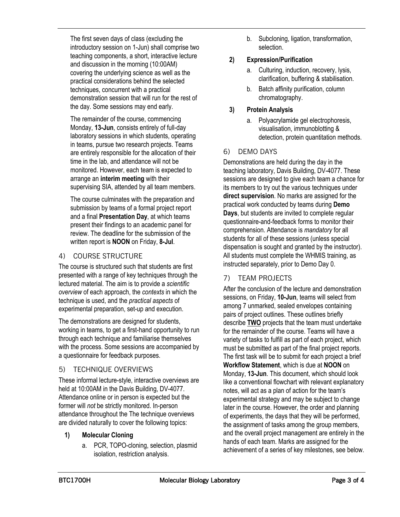The first seven days of class (excluding the introductory session on 1-Jun) shall comprise two teaching components, a short, interactive lecture and discussion in the morning (10:00AM) covering the underlying science as well as the practical considerations behind the selected techniques, concurrent with a practical demonstration session that will run for the rest of the day. Some sessions may end early.

The remainder of the course, commencing Monday, **13-Jun**, consists entirely of full-day laboratory sessions in which students, operating in teams, pursue two research projects. Teams are entirely responsible for the allocation of their time in the lab, and attendance will not be monitored. However, each team is expected to arrange an **interim meeting** with their supervising SIA, attended by all team members.

The course culminates with the preparation and submission by teams of a formal project report and a final **Presentation Day**, at which teams present their findings to an academic panel for review. The deadline for the submission of the written report is **NOON** on Friday, **8-Jul**.

## 4) COURSE STRUCTURE

The course is structured such that students are first presented with a range of key techniques through the lectured material. The aim is to provide a *scientific overview* of each approach, the *contexts* in which the technique is used, and the *practical aspects* of experimental preparation, set-up and execution.

The demonstrations are designed for students, working in teams, to get a first-hand opportunity to run through each technique and familiarise themselves with the process. Some sessions are accompanied by a questionnaire for feedback purposes.

## 5) TECHNIQUE OVERVIEWS

These informal lecture-style, interactive overviews are held at 10:00AM in the Davis Building, DV-4077. Attendance online or in person is expected but the former will *not* be strictly monitored. In-person attendance throughout the The technique overviews are divided naturally to cover the following topics:

## **1) Molecular Cloning**

a. PCR, TOPO-cloning, selection, plasmid isolation, restriction analysis.

b. Subcloning, ligation, transformation, selection.

## **2) Expression/Purification**

- a. Culturing, induction, recovery, lysis, clarification, buffering & stabilisation.
- b. Batch affinity purification, column chromatography.

## **3) Protein Analysis**

a. Polyacrylamide gel electrophoresis, visualisation, immunoblotting & detection, protein quantitation methods.

## 6) DEMO DAYS

Demonstrations are held during the day in the teaching laboratory, Davis Building, DV-4077. These sessions are designed to give each team a chance for its members to try out the various techniques under **direct supervision**. No marks are assigned for the practical work conducted by teams during **Demo Days**, but students are invited to complete regular questionnaire-and-feedback forms to monitor their comprehension. Attendance is *mandatory* for all students for all of these sessions (unless special dispensation is sought and granted by the instructor). All students must complete the WHMIS training, as instructed separately, prior to Demo Day 0.

## 7) TEAM PROJECTS

After the conclusion of the lecture and demonstration sessions, on Friday, **10-Jun**, teams will select from among 7 unmarked, sealed envelopes containing pairs of project outlines. These outlines briefly describe **TWO** projects that the team must undertake for the remainder of the course. Teams will have a variety of tasks to fulfill as part of each project, which must be submitted as part of the final project reports. The first task will be to submit for each project a brief **Workflow Statement**, which is due at **NOON** on Monday, **13-Jun**. This document, which should look like a conventional flowchart with relevant explanatory notes, will act as a plan of action for the team's experimental strategy and may be subject to change later in the course. However, the order and planning of experiments, the days that they will be performed, the assignment of tasks among the group members, and the overall project management are entirely in the hands of each team. Marks are assigned for the achievement of a series of key milestones, see below.